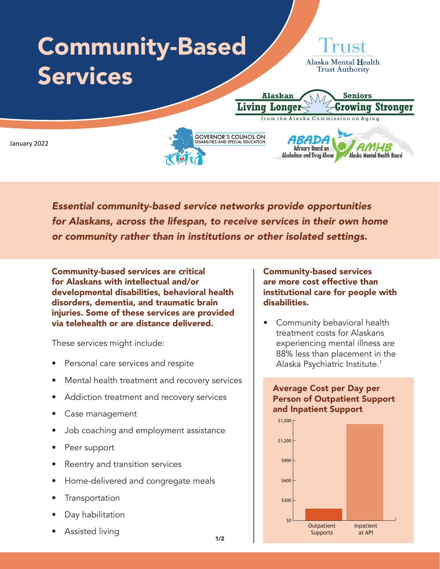

*Essential community-based service networks provide opportunities for Alaskans, across the lifespan, to receive services in their own home or community rather than in institutions or other isolated settings.* 

Community-based services are critical for Alaskans with intellectual and/or developmental disabilities, behavioral health disorders, dementia, and traumatic brain injuries. Some of these services are provided via telehealth or are distance delivered.

These services might include:

- Personal care services and respite
- Mental health treatment and recovery services
- Addiction treatment and recovery services
- Case management
- Job coaching and employment assistance
- Peer support
- Reentry and transition services
- Home-delivered and congregate meals
- **Transportation**
- Day habilitation
- Assisted living

Community-based services are more cost effective than institutional care for people with disabilities.

• Community behavioral health treatment costs for Alaskans experiencing mental illness are 88% less than placement in the Alaska Psychiatric Institute.1

## Average Cost per Day per Person of Outpatient Support and Inpatient Support